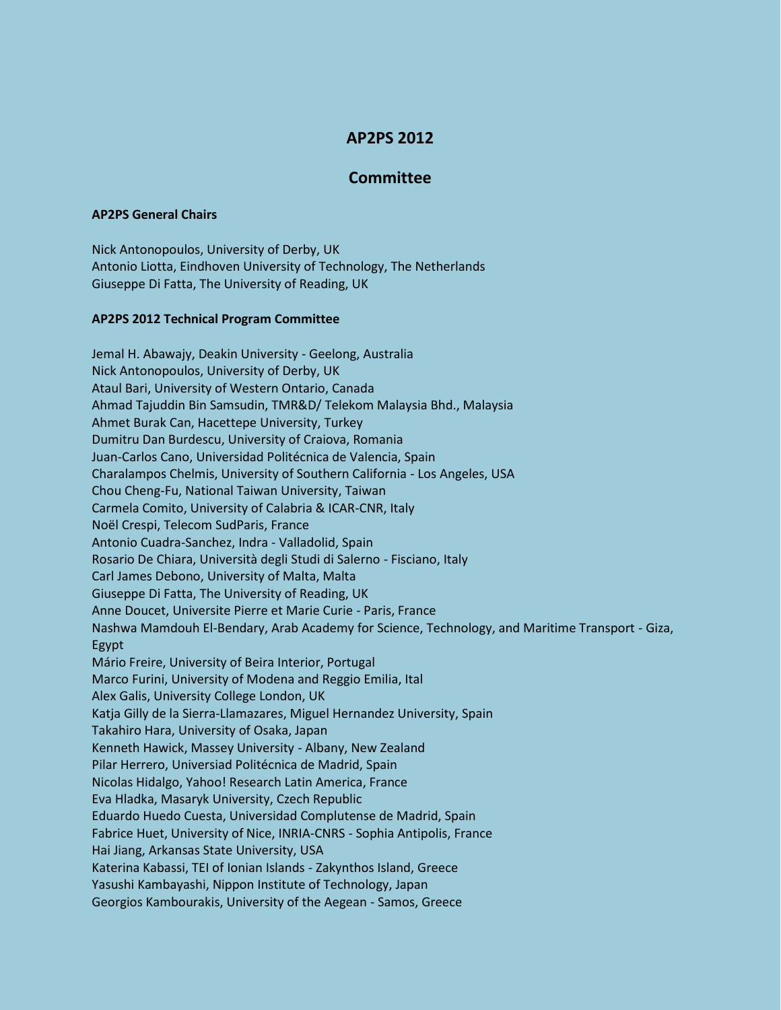## **AP2PS 2012**

## **Committee**

## **AP2PS General Chairs**

Nick Antonopoulos, University of Derby, UK Antonio Liotta, Eindhoven University of Technology, The Netherlands Giuseppe Di Fatta, The University of Reading, UK

## **AP2PS 2012 Technical Program Committee**

Jemal H. Abawajy, Deakin University - Geelong, Australia Nick Antonopoulos, University of Derby, UK Ataul Bari, University of Western Ontario, Canada Ahmad Tajuddin Bin Samsudin, TMR&D/ Telekom Malaysia Bhd., Malaysia Ahmet Burak Can, Hacettepe University, Turkey Dumitru Dan Burdescu, University of Craiova, Romania Juan-Carlos Cano, Universidad Politécnica de Valencia, Spain Charalampos Chelmis, University of Southern California - Los Angeles, USA Chou Cheng-Fu, National Taiwan University, Taiwan Carmela Comito, University of Calabria & ICAR-CNR, Italy Noël Crespi, Telecom SudParis, France Antonio Cuadra-Sanchez, Indra - Valladolid, Spain Rosario De Chiara, Università degli Studi di Salerno - Fisciano, Italy Carl James Debono, University of Malta, Malta Giuseppe Di Fatta, The University of Reading, UK Anne Doucet, Universite Pierre et Marie Curie - Paris, France Nashwa Mamdouh El-Bendary, Arab Academy for Science, Technology, and Maritime Transport - Giza, Egypt Mário Freire, University of Beira Interior, Portugal Marco Furini, University of Modena and Reggio Emilia, Ital Alex Galis, University College London, UK Katja Gilly de la Sierra-Llamazares, Miguel Hernandez University, Spain Takahiro Hara, University of Osaka, Japan Kenneth Hawick, Massey University - Albany, New Zealand Pilar Herrero, Universiad Politécnica de Madrid, Spain Nicolas Hidalgo, Yahoo! Research Latin America, France Eva Hladka, Masaryk University, Czech Republic Eduardo Huedo Cuesta, Universidad Complutense de Madrid, Spain Fabrice Huet, University of Nice, INRIA-CNRS - Sophia Antipolis, France Hai Jiang, Arkansas State University, USA Katerina Kabassi, TEI of Ionian Islands - Zakynthos Island, Greece Yasushi Kambayashi, Nippon Institute of Technology, Japan Georgios Kambourakis, University of the Aegean - Samos, Greece